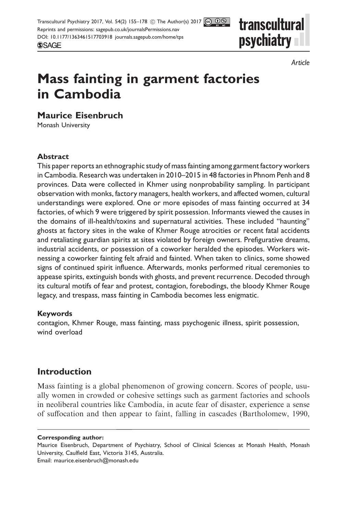Transcultural Psychiatry 2017, Vol. 54(2) 155–178 (c) The Author(s) 2017  $\left[\begin{matrix} \widehat{\alpha} \end{matrix}\right]$   $\Theta$ Reprints and permissions: [sagepub.co.uk/journalsPermissions.nav](https://uk.sagepub.com/en-gb/journals-permissions) DOI: [10.1177/1363461517703918](https://doi.org/10.1177/1363461517703918)<journals.sagepub.com/home/tps> **SSAGE** 

Article

**transcultural** 

psychiatry

# Mass fainting in garment factories in Cambodia

Maurice Eisenbruch

Monash University

## Abstract

This paper reports an ethnographic study of mass fainting among garment factory workers in Cambodia. Research was undertaken in 2010–2015 in 48 factories in Phnom Penh and 8 provinces. Data were collected in Khmer using nonprobability sampling. In participant observation with monks, factory managers, health workers, and affected women, cultural understandings were explored. One or more episodes of mass fainting occurred at 34 factories, of which 9 were triggered by spirit possession. Informants viewed the causes in the domains of ill-health/toxins and supernatural activities. These included ''haunting'' ghosts at factory sites in the wake of Khmer Rouge atrocities or recent fatal accidents and retaliating guardian spirits at sites violated by foreign owners. Prefigurative dreams, industrial accidents, or possession of a coworker heralded the episodes. Workers witnessing a coworker fainting felt afraid and fainted. When taken to clinics, some showed signs of continued spirit influence. Afterwards, monks performed ritual ceremonies to appease spirits, extinguish bonds with ghosts, and prevent recurrence. Decoded through its cultural motifs of fear and protest, contagion, forebodings, the bloody Khmer Rouge legacy, and trespass, mass fainting in Cambodia becomes less enigmatic.

## Keywords

contagion, Khmer Rouge, mass fainting, mass psychogenic illness, spirit possession, wind overload

# Introduction

Mass fainting is a global phenomenon of growing concern. Scores of people, usually women in crowded or cohesive settings such as garment factories and schools in neoliberal countries like Cambodia, in acute fear of disaster, experience a sense of suffocation and then appear to faint, falling in cascades (Bartholomew, 1990,

Corresponding author:

Maurice Eisenbruch, Department of Psychiatry, School of Clinical Sciences at Monash Health, Monash University, Caulfield East, Victoria 3145, Australia. Email: maurice.eisenbruch@monash.edu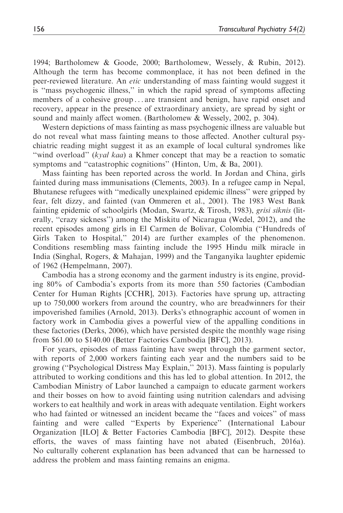1994; Bartholomew & Goode, 2000; Bartholomew, Wessely, & Rubin, 2012). Although the term has become commonplace, it has not been defined in the peer-reviewed literature. An etic understanding of mass fainting would suggest it is ''mass psychogenic illness,'' in which the rapid spread of symptoms affecting members of a cohesive group ... are transient and benign, have rapid onset and recovery, appear in the presence of extraordinary anxiety, are spread by sight or sound and mainly affect women. (Bartholomew & Wessely, 2002, p. 304).

Western depictions of mass fainting as mass psychogenic illness are valuable but do not reveal what mass fainting means to those affected. Another cultural psychiatric reading might suggest it as an example of local cultural syndromes like "wind overload" (kyal kaa) a Khmer concept that may be a reaction to somatic symptoms and "catastrophic cognitions" (Hinton, Um, & Ba, 2001).

Mass fainting has been reported across the world. In Jordan and China, girls fainted during mass immunisations (Clements, 2003). In a refugee camp in Nepal, Bhutanese refugees with ''medically unexplained epidemic illness'' were gripped by fear, felt dizzy, and fainted (van Ommeren et al., 2001). The 1983 West Bank fainting epidemic of schoolgirls (Modan, Swartz, & Tirosh, 1983), grisi siknis (literally, ''crazy sickness'') among the Miskitu of Nicaragua (Wedel, 2012), and the recent episodes among girls in El Carmen de Bolivar, Colombia (''Hundreds of Girls Taken to Hospital,'' 2014) are further examples of the phenomenon. Conditions resembling mass fainting include the 1995 Hindu milk miracle in India (Singhal, Rogers, & Mahajan, 1999) and the Tanganyika laughter epidemic of 1962 (Hempelmann, 2007).

Cambodia has a strong economy and the garment industry is its engine, providing 80% of Cambodia's exports from its more than 550 factories (Cambodian Center for Human Rights [CCHR], 2013). Factories have sprung up, attracting up to 750,000 workers from around the country, who are breadwinners for their impoverished families (Arnold, 2013). Derks's ethnographic account of women in factory work in Cambodia gives a powerful view of the appalling conditions in these factories (Derks, 2006), which have persisted despite the monthly wage rising from \$61.00 to \$140.00 (Better Factories Cambodia [BFC], 2013).

For years, episodes of mass fainting have swept through the garment sector, with reports of 2,000 workers fainting each year and the numbers said to be growing (''Psychological Distress May Explain,'' 2013). Mass fainting is popularly attributed to working conditions and this has led to global attention. In 2012, the Cambodian Ministry of Labor launched a campaign to educate garment workers and their bosses on how to avoid fainting using nutrition calendars and advising workers to eat healthily and work in areas with adequate ventilation. Eight workers who had fainted or witnessed an incident became the ''faces and voices'' of mass fainting and were called ''Experts by Experience'' (International Labour Organization [ILO] & Better Factories Cambodia [BFC], 2012). Despite these efforts, the waves of mass fainting have not abated (Eisenbruch, 2016a). No culturally coherent explanation has been advanced that can be harnessed to address the problem and mass fainting remains an enigma.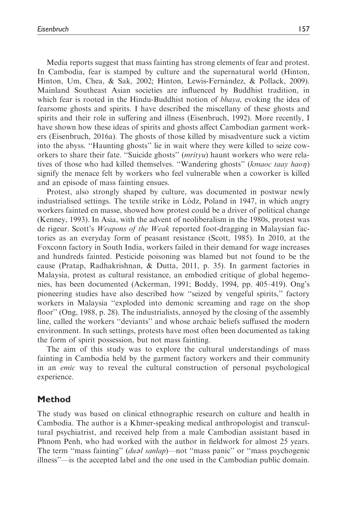Media reports suggest that mass fainting has strong elements of fear and protest. In Cambodia, fear is stamped by culture and the supernatural world (Hinton, Hinton, Um, Chea, & Sak, 2002; Hinton, Lewis-Fernández, & Pollack, 2009). Mainland Southeast Asian societies are influenced by Buddhist tradition, in which fear is rooted in the Hindu-Buddhist notion of *bhaya*, evoking the idea of fearsome ghosts and spirits. I have described the miscellany of these ghosts and spirits and their role in suffering and illness (Eisenbruch, 1992). More recently, I have shown how these ideas of spirits and ghosts affect Cambodian garment workers (Eisenbruch, 2016a). The ghosts of those killed by misadventure suck a victim into the abyss. ''Haunting ghosts'' lie in wait where they were killed to seize coworkers to share their fate. "Suicide ghosts" (*mrityu*) haunt workers who were rela-<br>tives of these who had killed themselves. "Wandering abosts" (*kwase tagu haan*) tives of those who had killed themselves. "Wandering ghosts" (kmaoc taay haon) signify the menace felt by workers who feel vulnerable when a coworker is killed and an episode of mass fainting ensues.

Protest, also strongly shaped by culture, was documented in postwar newly industrialised settings. The textile strike in Lódz, Poland in 1947, in which angry workers fainted en masse, showed how protest could be a driver of political change (Kenney, 1993). In Asia, with the advent of neoliberalism in the 1980s, protest was de rigeur. Scott's Weapons of the Weak reported foot-dragging in Malaysian factories as an everyday form of peasant resistance (Scott, 1985). In 2010, at the Foxconn factory in South India, workers failed in their demand for wage increases and hundreds fainted. Pesticide poisoning was blamed but not found to be the cause (Pratap, Radhakrishnan, & Dutta, 2011, p. 35). In garment factories in Malaysia, protest as cultural resistance, an embodied critique of global hegemonies, has been documented (Ackerman, 1991; Boddy, 1994, pp. 405–419). Ong's pioneering studies have also described how ''seized by vengeful spirits,'' factory workers in Malaysia ''exploded into demonic screaming and rage on the shop floor'' (Ong, 1988, p. 28). The industrialists, annoyed by the closing of the assembly line, called the workers ''deviants'' and whose archaic beliefs suffused the modern environment. In such settings, protests have most often been documented as taking the form of spirit possession, but not mass fainting.

The aim of this study was to explore the cultural understandings of mass fainting in Cambodia held by the garment factory workers and their community in an emic way to reveal the cultural construction of personal psychological experience.

## Method

The study was based on clinical ethnographic research on culture and health in Cambodia. The author is a Khmer-speaking medical anthropologist and transcultural psychiatrist, and received help from a male Cambodian assistant based in Phnom Penh, who had worked with the author in fieldwork for almost 25 years. The term "mass fainting" (dual sanlap)—not "mass panic" or "mass psychogenic illness''—is the accepted label and the one used in the Cambodian public domain.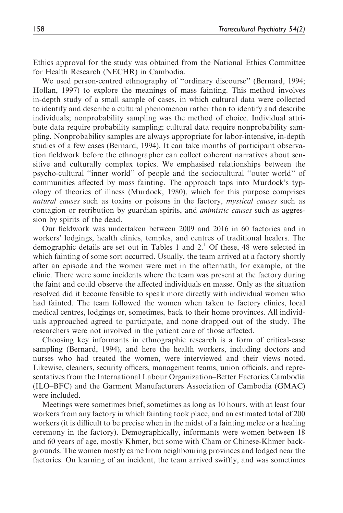Ethics approval for the study was obtained from the National Ethics Committee for Health Research (NECHR) in Cambodia.

We used person-centred ethnography of ''ordinary discourse'' (Bernard, 1994; Hollan, 1997) to explore the meanings of mass fainting. This method involves in-depth study of a small sample of cases, in which cultural data were collected to identify and describe a cultural phenomenon rather than to identify and describe individuals; nonprobability sampling was the method of choice. Individual attribute data require probability sampling; cultural data require nonprobability sampling. Nonprobability samples are always appropriate for labor-intensive, in-depth studies of a few cases (Bernard, 1994). It can take months of participant observation fieldwork before the ethnographer can collect coherent narratives about sensitive and culturally complex topics. We emphasised relationships between the psycho-cultural ''inner world'' of people and the sociocultural ''outer world'' of communities affected by mass fainting. The approach taps into Murdock's typology of theories of illness (Murdock, 1980), which for this purpose comprises natural causes such as toxins or poisons in the factory, *mystical causes* such as contagion or retribution by guardian spirits, and *animistic causes* such as aggression by spirits of the dead.

Our fieldwork was undertaken between 2009 and 2016 in 60 factories and in workers' lodgings, health clinics, temples, and centres of traditional healers. The demographic details are set out in Tables 1 and  $2<sup>1</sup>$  Of these, 48 were selected in which fainting of some sort occurred. Usually, the team arrived at a factory shortly after an episode and the women were met in the aftermath, for example, at the clinic. There were some incidents where the team was present at the factory during the faint and could observe the affected individuals en masse. Only as the situation resolved did it become feasible to speak more directly with individual women who had fainted. The team followed the women when taken to factory clinics, local medical centres, lodgings or, sometimes, back to their home provinces. All individuals approached agreed to participate, and none dropped out of the study. The researchers were not involved in the patient care of those affected.

Choosing key informants in ethnographic research is a form of critical-case sampling (Bernard, 1994), and here the health workers, including doctors and nurses who had treated the women, were interviewed and their views noted. Likewise, cleaners, security officers, management teams, union officials, and representatives from the International Labour Organization–Better Factories Cambodia (ILO–BFC) and the Garment Manufacturers Association of Cambodia (GMAC) were included.

Meetings were sometimes brief, sometimes as long as 10 hours, with at least four workers from any factory in which fainting took place, and an estimated total of 200 workers (it is difficult to be precise when in the midst of a fainting melee or a healing ceremony in the factory). Demographically, informants were women between 18 and 60 years of age, mostly Khmer, but some with Cham or Chinese-Khmer backgrounds. The women mostly came from neighbouring provinces and lodged near the factories. On learning of an incident, the team arrived swiftly, and was sometimes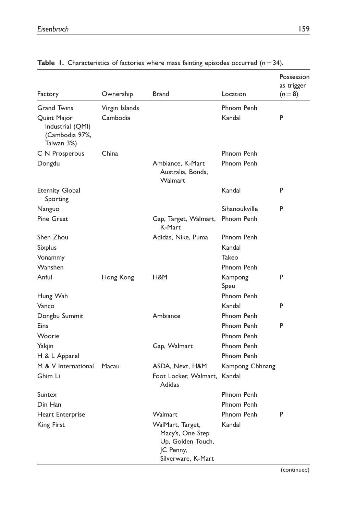|                                                                 |                |                                                                                              |                 | Possession<br>as trigger |  |
|-----------------------------------------------------------------|----------------|----------------------------------------------------------------------------------------------|-----------------|--------------------------|--|
| Factory                                                         | Ownership      | <b>Brand</b>                                                                                 | Location        | $(n = 8)$                |  |
| <b>Grand Twins</b>                                              | Virgin Islands |                                                                                              | Phnom Penh      |                          |  |
| Quint Major<br>Industrial (QMI)<br>(Cambodia 97%,<br>Taiwan 3%) | Cambodia       |                                                                                              | Kandal          | P                        |  |
| C N Prosperous                                                  | China          |                                                                                              | Phnom Penh      |                          |  |
| Dongdu                                                          |                | Ambiance, K-Mart<br>Australia, Bonds,<br>Walmart                                             | Phnom Penh      |                          |  |
| <b>Eternity Global</b><br>Sporting                              |                |                                                                                              | Kandal          | P                        |  |
| Nanguo                                                          |                |                                                                                              | Sihanoukville   | P                        |  |
| Pine Great                                                      |                | Gap, Target, Walmart,<br>K-Mart                                                              | Phnom Penh      |                          |  |
| Shen Zhou                                                       |                | Adidas, Nike, Puma                                                                           | Phnom Penh      |                          |  |
| Sixplus                                                         |                |                                                                                              | Kandal          |                          |  |
| Vonammy                                                         |                |                                                                                              | Takeo           |                          |  |
| Wanshen                                                         |                |                                                                                              | Phnom Penh      |                          |  |
| Anful                                                           | Hong Kong      | H&M                                                                                          | Kampong<br>Speu | P                        |  |
| Hung Wah                                                        |                |                                                                                              | Phnom Penh      |                          |  |
| Vanco                                                           |                |                                                                                              | Kandal          | P                        |  |
| Dongbu Summit                                                   |                | Ambiance                                                                                     | Phnom Penh      |                          |  |
| Eins                                                            |                |                                                                                              | Phnom Penh      | P                        |  |
| Woorie                                                          |                |                                                                                              | Phnom Penh      |                          |  |
| Yakjin                                                          |                | Gap, Walmart                                                                                 | Phnom Penh      |                          |  |
| H & L Apparel                                                   |                |                                                                                              | Phnom Penh      |                          |  |
| M & V International                                             | Macau          | ASDA, Next, H&M                                                                              | Kampong Chhnang |                          |  |
| Ghim Li                                                         |                | Foot Locker, Walmart, Kandal<br>Adidas                                                       |                 |                          |  |
| Suntex                                                          |                |                                                                                              | Phnom Penh      |                          |  |
| Din Han                                                         |                |                                                                                              | Phnom Penh      |                          |  |
| Heart Enterprise                                                |                | Walmart                                                                                      | Phnom Penh      | P                        |  |
| King First                                                      |                | WalMart, Target,<br>Macy's, One Step<br>Up, Golden Touch,<br>IC Penny,<br>Silverware, K-Mart | Kandal          |                          |  |

## Table 1. Characteristics of factories where mass fainting episodes occurred  $(n = 34)$ .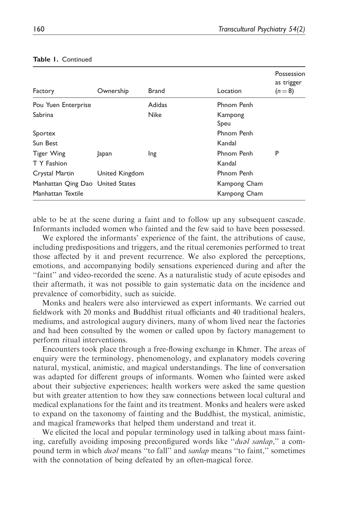| Factory                          | Ownership      | <b>Brand</b> | Location        | Possession<br>as trigger<br>$(n=8)$ |
|----------------------------------|----------------|--------------|-----------------|-------------------------------------|
| Pou Yuen Enterprise              |                | Adidas       | Phnom Penh      |                                     |
| Sabrina                          |                | <b>Nike</b>  | Kampong<br>Speu |                                     |
| Sportex                          |                |              | Phnom Penh      |                                     |
| Sun Best                         |                |              | Kandal          |                                     |
| <b>Tiger Wing</b>                | <b>Japan</b>   | Ing          | Phnom Penh      | P                                   |
| T Y Fashion                      |                |              | Kandal          |                                     |
| Crystal Martin                   | United Kingdom |              | Phnom Penh      |                                     |
| Manhattan Qing Dao United States |                |              | Kampong Cham    |                                     |
| Manhattan Textile                |                |              | Kampong Cham    |                                     |

#### Table 1. Continued

able to be at the scene during a faint and to follow up any subsequent cascade. Informants included women who fainted and the few said to have been possessed.

We explored the informants' experience of the faint, the attributions of cause, including predispositions and triggers, and the ritual ceremonies performed to treat those affected by it and prevent recurrence. We also explored the perceptions, emotions, and accompanying bodily sensations experienced during and after the ''faint'' and video-recorded the scene. As a naturalistic study of acute episodes and their aftermath, it was not possible to gain systematic data on the incidence and prevalence of comorbidity, such as suicide.

Monks and healers were also interviewed as expert informants. We carried out fieldwork with 20 monks and Buddhist ritual officiants and 40 traditional healers, mediums, and astrological augury diviners, many of whom lived near the factories and had been consulted by the women or called upon by factory management to perform ritual interventions.

Encounters took place through a free-flowing exchange in Khmer. The areas of enquiry were the terminology, phenomenology, and explanatory models covering natural, mystical, animistic, and magical understandings. The line of conversation was adapted for different groups of informants. Women who fainted were asked about their subjective experiences; health workers were asked the same question but with greater attention to how they saw connections between local cultural and medical explanations for the faint and its treatment. Monks and healers were asked to expand on the taxonomy of fainting and the Buddhist, the mystical, animistic, and magical frameworks that helped them understand and treat it.

We elicited the local and popular terminology used in talking about mass fainting, carefully avoiding imposing preconfigured words like "*dual sanlap*," a compound term in which *dual* means "to fall" and *sanlap* means "to faint," sometimes with the connotation of being defeated by an often-magical force.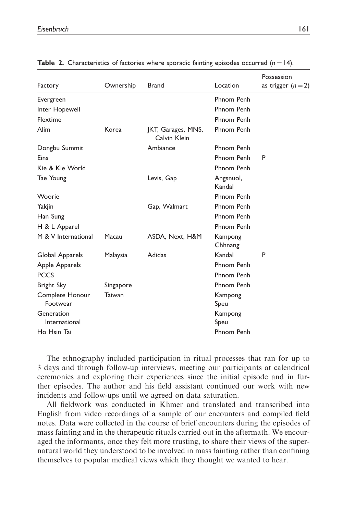|                                            |           |                                    |                               | Possession         |  |
|--------------------------------------------|-----------|------------------------------------|-------------------------------|--------------------|--|
| Factory                                    | Ownership | <b>Brand</b>                       | Location                      | as trigger $(n=2)$ |  |
| Evergreen                                  |           |                                    | Phnom Penh                    |                    |  |
| Inter Hopewell                             |           |                                    | Phnom Penh                    |                    |  |
| Flextime                                   |           |                                    | Phnom Penh                    |                    |  |
| Alim                                       | Korea     | JKT, Garages, MNS,<br>Calvin Klein | Phnom Penh                    |                    |  |
| Dongbu Summit                              |           | Ambiance                           | Phnom Penh                    |                    |  |
| Eins                                       |           |                                    | Phnom Penh                    | P                  |  |
| Kie & Kie World                            |           |                                    | Phnom Penh                    |                    |  |
| Tae Young                                  |           | Levis, Gap                         | Angsnuol,<br>Kandal           |                    |  |
| Woorie                                     |           |                                    | Phnom Penh                    |                    |  |
| Yakjin                                     |           | Gap, Walmart                       | Phnom Penh                    |                    |  |
| Han Sung                                   |           |                                    | Phnom Penh                    |                    |  |
| H & L Apparel                              |           |                                    | Phnom Penh                    |                    |  |
| M & V International                        | Macau     | ASDA, Next, H&M                    | Kampong<br>Chhnang            |                    |  |
| Global Apparels                            | Malaysia  | Adidas                             | Kandal                        | P                  |  |
| Apple Apparels                             |           |                                    | Phnom Penh                    |                    |  |
| <b>PCCS</b>                                |           |                                    | Phnom Penh                    |                    |  |
| Bright Sky                                 | Singapore |                                    | Phnom Penh                    |                    |  |
| Complete Honour<br>Footwear                | Taiwan    |                                    | Kampong<br>Speu               |                    |  |
| Generation<br>International<br>Ho Hsin Tai |           |                                    | Kampong<br>Speu<br>Phnom Penh |                    |  |
|                                            |           |                                    |                               |                    |  |

|  |  | <b>Table 2.</b> Characteristics of factories where sporadic fainting episodes occurred ( $n = 14$ ). |  |  |  |  |  |  |  |  |  |
|--|--|------------------------------------------------------------------------------------------------------|--|--|--|--|--|--|--|--|--|
|--|--|------------------------------------------------------------------------------------------------------|--|--|--|--|--|--|--|--|--|

The ethnography included participation in ritual processes that ran for up to 3 days and through follow-up interviews, meeting our participants at calendrical ceremonies and exploring their experiences since the initial episode and in further episodes. The author and his field assistant continued our work with new incidents and follow-ups until we agreed on data saturation.

All fieldwork was conducted in Khmer and translated and transcribed into English from video recordings of a sample of our encounters and compiled field notes. Data were collected in the course of brief encounters during the episodes of mass fainting and in the therapeutic rituals carried out in the aftermath. We encouraged the informants, once they felt more trusting, to share their views of the supernatural world they understood to be involved in mass fainting rather than confining themselves to popular medical views which they thought we wanted to hear.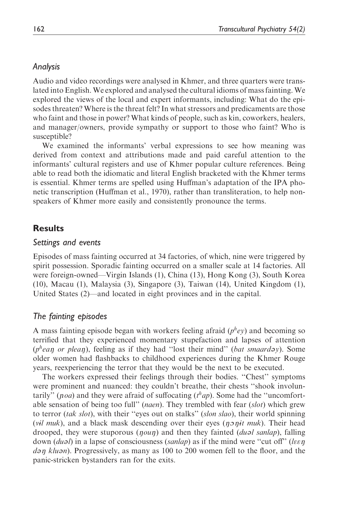## Analysis

Audio and video recordings were analysed in Khmer, and three quarters were translated into English. We explored and analysed the cultural idioms of mass fainting.We explored the views of the local and expert informants, including: What do the episodes threaten? Where is the threat felt? In what stressors and predicaments are those who faint and those in power? What kinds of people, such as kin, coworkers, healers, and manager/owners, provide sympathy or support to those who faint? Who is susceptible?

We examined the informants' verbal expressions to see how meaning was derived from context and attributions made and paid careful attention to the informants' cultural registers and use of Khmer popular culture references. Being able to read both the idiomatic and literal English bracketed with the Khmer terms is essential. Khmer terms are spelled using Huffman's adaptation of the IPA phonetic transcription (Huffman et al., 1970), rather than transliteration, to help nonspeakers of Khmer more easily and consistently pronounce the terms.

## Results

#### Settings and events

Episodes of mass fainting occurred at 34 factories, of which, nine were triggered by spirit possession. Sporadic fainting occurred on a smaller scale at 14 factories. All were foreign-owned—Virgin Islands (1), China (13), Hong Kong (3), South Korea (10), Macau (1), Malaysia (3), Singapore (3), Taiwan (14), United Kingdom (1), United States (2)—and located in eight provinces and in the capital.

## The fainting episodes

A mass fainting episode began with workers feeling afraid ( $p^h e y$ ) and becoming so terrified that they experienced momentary stupefaction and lapses of attention  $(p^h$ ean or plean), feeling as if they had "lost their mind" (bat smaarday). Some older women had flashbacks to childhood experiences during the Khmer Rouge years, reexperiencing the terror that they would be the next to be executed.

The workers expressed their feelings through their bodies. ''Chest'' symptoms were prominent and nuanced: they couldn't breathe, their chests ''shook involuntarily" (*poa*) and they were afraid of suffocating  $(t<sup>h</sup>ap)$ . Some had the "uncomfortable sensation of being too full" (*naen*). They trembled with fear (*slot*) which grew to terror *(tak slot)*, with their "eyes out on stalks" *(slon slao)*, their world spinning (*vil muk*), and a black mask descending over their eyes ( $\eta \circ \eta$ *it muk*). Their head drooped, they were stuporous (noun) and then they fainted (dual sanlap), falling down (du $\sigma$ ) in a lapse of consciousness (sanlap) as if the mind were "cut off" (leen  $d \rho$  klu $\partial n$ ). Progressively, as many as 100 to 200 women fell to the floor, and the panic-stricken bystanders ran for the exits.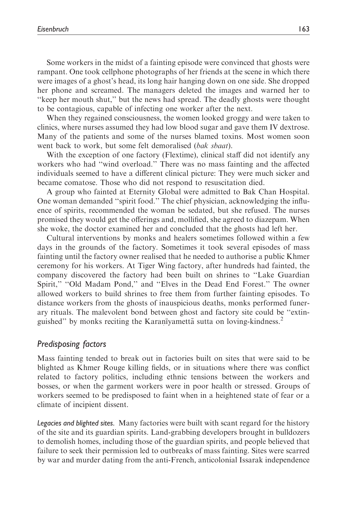Some workers in the midst of a fainting episode were convinced that ghosts were rampant. One took cellphone photographs of her friends at the scene in which there were images of a ghost's head, its long hair hanging down on one side. She dropped her phone and screamed. The managers deleted the images and warned her to ''keep her mouth shut,'' but the news had spread. The deadly ghosts were thought to be contagious, capable of infecting one worker after the next.

When they regained consciousness, the women looked groggy and were taken to clinics, where nurses assumed they had low blood sugar and gave them IV dextrose. Many of the patients and some of the nurses blamed toxins. Most women soon went back to work, but some felt demoralised *(bak sbaat)*.

With the exception of one factory (Flextime), clinical staff did not identify any workers who had ''wind overload.'' There was no mass fainting and the affected individuals seemed to have a different clinical picture: They were much sicker and became comatose. Those who did not respond to resuscitation died.

A group who fainted at Eternity Global were admitted to Bak Chan Hospital. One woman demanded ''spirit food.'' The chief physician, acknowledging the influence of spirits, recommended the woman be sedated, but she refused. The nurses promised they would get the offerings and, mollified, she agreed to diazepam. When she woke, the doctor examined her and concluded that the ghosts had left her.

Cultural interventions by monks and healers sometimes followed within a few days in the grounds of the factory. Sometimes it took several episodes of mass fainting until the factory owner realised that he needed to authorise a public Khmer ceremony for his workers. At Tiger Wing factory, after hundreds had fainted, the company discovered the factory had been built on shrines to ''Lake Guardian Spirit," "Old Madam Pond," and "Elves in the Dead End Forest." The owner allowed workers to build shrines to free them from further fainting episodes. To distance workers from the ghosts of inauspicious deaths, monks performed funerary rituals. The malevolent bond between ghost and factory site could be ''extinguished" by monks reciting the Karaniyametta sutta on loving-kindness.<sup>2</sup>

#### Predisposing factors

Mass fainting tended to break out in factories built on sites that were said to be blighted as Khmer Rouge killing fields, or in situations where there was conflict related to factory politics, including ethnic tensions between the workers and bosses, or when the garment workers were in poor health or stressed. Groups of workers seemed to be predisposed to faint when in a heightened state of fear or a climate of incipient dissent.

Legacies and blighted sites. Many factories were built with scant regard for the history of the site and its guardian spirits. Land-grabbing developers brought in bulldozers to demolish homes, including those of the guardian spirits, and people believed that failure to seek their permission led to outbreaks of mass fainting. Sites were scarred by war and murder dating from the anti-French, anticolonial Issarak independence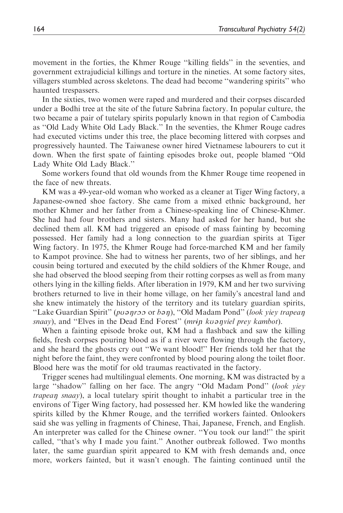movement in the forties, the Khmer Rouge ''killing fields'' in the seventies, and government extrajudicial killings and torture in the nineties. At some factory sites, villagers stumbled across skeletons. The dead had become ''wandering spirits'' who haunted trespassers.

In the sixties, two women were raped and murdered and their corpses discarded under a Bodhi tree at the site of the future Sabrina factory. In popular culture, the two became a pair of tutelary spirits popularly known in that region of Cambodia as ''Old Lady White Old Lady Black.'' In the seventies, the Khmer Rouge cadres had executed victims under this tree, the place becoming littered with corpses and progressively haunted. The Taiwanese owner hired Vietnamese labourers to cut it down. When the first spate of fainting episodes broke out, people blamed ''Old Lady White Old Lady Black.''

Some workers found that old wounds from the Khmer Rouge time reopened in the face of new threats.

KM was a 49-year-old woman who worked as a cleaner at Tiger Wing factory, a Japanese-owned shoe factory. She came from a mixed ethnic background, her mother Khmer and her father from a Chinese-speaking line of Chinese-Khmer. She had had four brothers and sisters. Many had asked for her hand, but she declined them all. KM had triggered an episode of mass fainting by becoming possessed. Her family had a long connection to the guardian spirits at Tiger Wing factory. In 1975, the Khmer Rouge had force-marched KM and her family to Kampot province. She had to witness her parents, two of her siblings, and her cousin being tortured and executed by the child soldiers of the Khmer Rouge, and she had observed the blood seeping from their rotting corpses as well as from many others lying in the killing fields. After liberation in 1979, KM and her two surviving brothers returned to live in their home village, on her family's ancestral land and she knew intimately the history of the territory and its tutelary guardian spirits, "Lake Guardian Spirit" (puanroo or ban), "Old Madam Pond" (look yiey trapean snaay), and "Elves in the Dead End Forest" (mrip kuapviel prey kambot).

When a fainting episode broke out, KM had a flashback and saw the killing fields, fresh corpses pouring blood as if a river were flowing through the factory, and she heard the ghosts cry out ''We want blood!'' Her friends told her that the night before the faint, they were confronted by blood pouring along the toilet floor. Blood here was the motif for old traumas reactivated in the factory.

Trigger scenes had multilingual elements. One morning, KM was distracted by a large "shadow" falling on her face. The angry "Old Madam Pond" (look yiey trapean snaay), a local tutelary spirit thought to inhabit a particular tree in the environs of Tiger Wing factory, had possessed her. KM howled like the wandering spirits killed by the Khmer Rouge, and the terrified workers fainted. Onlookers said she was yelling in fragments of Chinese, Thai, Japanese, French, and English. An interpreter was called for the Chinese owner. ''You took our land!'' the spirit called, ''that's why I made you faint.'' Another outbreak followed. Two months later, the same guardian spirit appeared to KM with fresh demands and, once more, workers fainted, but it wasn't enough. The fainting continued until the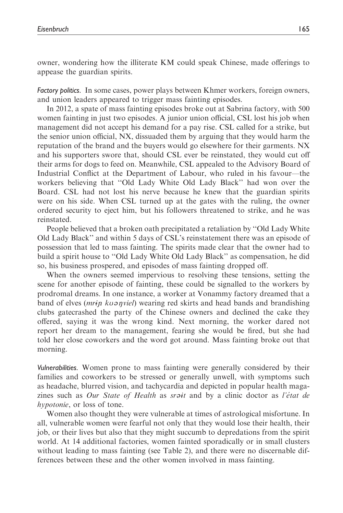owner, wondering how the illiterate KM could speak Chinese, made offerings to appease the guardian spirits.

Factory politics. In some cases, power plays between Khmer workers, foreign owners, and union leaders appeared to trigger mass fainting episodes.

In 2012, a spate of mass fainting episodes broke out at Sabrina factory, with 500 women fainting in just two episodes. A junior union official, CSL lost his job when management did not accept his demand for a pay rise. CSL called for a strike, but the senior union official, NX, dissuaded them by arguing that they would harm the reputation of the brand and the buyers would go elsewhere for their garments. NX and his supporters swore that, should CSL ever be reinstated, they would cut off their arms for dogs to feed on. Meanwhile, CSL appealed to the Advisory Board of Industrial Conflict at the Department of Labour, who ruled in his favour—the workers believing that ''Old Lady White Old Lady Black'' had won over the Board. CSL had not lost his nerve because he knew that the guardian spirits were on his side. When CSL turned up at the gates with the ruling, the owner ordered security to eject him, but his followers threatened to strike, and he was reinstated.

People believed that a broken oath precipitated a retaliation by ''Old Lady White Old Lady Black'' and within 5 days of CSL's reinstatement there was an episode of possession that led to mass fainting. The spirits made clear that the owner had to build a spirit house to ''Old Lady White Old Lady Black'' as compensation, he did so, his business prospered, and episodes of mass fainting dropped off.

When the owners seemed impervious to resolving these tensions, setting the scene for another episode of fainting, these could be signalled to the workers by prodromal dreams. In one instance, a worker at Vonammy factory dreamed that a band of elves *(mrip ku* $\sigma$ *nviel)* wearing red skirts and head bands and brandishing clubs gatecrashed the party of the Chinese owners and declined the cake they offered, saying it was the wrong kind. Next morning, the worker dared not report her dream to the management, fearing she would be fired, but she had told her close coworkers and the word got around. Mass fainting broke out that morning.

Vulnerabilities. Women prone to mass fainting were generally considered by their families and coworkers to be stressed or generally unwell, with symptoms such as headache, blurred vision, and tachycardia and depicted in popular health magazines such as Our State of Health as srait and by a clinic doctor as l'état de hypotonie, or loss of tone.

Women also thought they were vulnerable at times of astrological misfortune. In all, vulnerable women were fearful not only that they would lose their health, their job, or their lives but also that they might succumb to depredations from the spirit world. At 14 additional factories, women fainted sporadically or in small clusters without leading to mass fainting (see Table 2), and there were no discernable differences between these and the other women involved in mass fainting.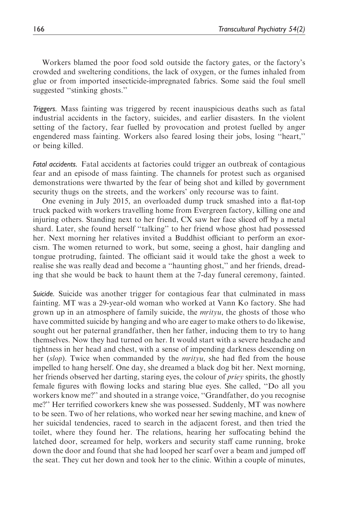Workers blamed the poor food sold outside the factory gates, or the factory's crowded and sweltering conditions, the lack of oxygen, or the fumes inhaled from glue or from imported insecticide-impregnated fabrics. Some said the foul smell suggested ''stinking ghosts.''

Triggers. Mass fainting was triggered by recent inauspicious deaths such as fatal industrial accidents in the factory, suicides, and earlier disasters. In the violent setting of the factory, fear fuelled by provocation and protest fuelled by anger engendered mass fainting. Workers also feared losing their jobs, losing ''heart,'' or being killed.

Fatal accidents. Fatal accidents at factories could trigger an outbreak of contagious fear and an episode of mass fainting. The channels for protest such as organised demonstrations were thwarted by the fear of being shot and killed by government security thugs on the streets, and the workers' only recourse was to faint.

One evening in July 2015, an overloaded dump truck smashed into a flat-top truck packed with workers travelling home from Evergreen factory, killing one and injuring others. Standing next to her friend, CX saw her face sliced off by a metal shard. Later, she found herself ''talking'' to her friend whose ghost had possessed her. Next morning her relatives invited a Buddhist officiant to perform an exorcism. The women returned to work, but some, seeing a ghost, hair dangling and tongue protruding, fainted. The officiant said it would take the ghost a week to realise she was really dead and become a ''haunting ghost,'' and her friends, dreading that she would be back to haunt them at the 7-day funeral ceremony, fainted.

Suicide. Suicide was another trigger for contagious fear that culminated in mass fainting. MT was a 29-year-old woman who worked at Vann Ko factory. She had grown up in an atmosphere of family suicide, the *mrityu*, the ghosts of those who<br>have committed wiside by hanging and who are aggent a make others to do likewise. have committed suicide by hanging and who are eager to make others to do likewise, sought out her paternal grandfather, then her father, inducing them to try to hang themselves. Now they had turned on her. It would start with a severe headache and tightness in her head and chest, with a sense of impending darkness descending on her (slop). Twice when commanded by the *mrityu*, she had fled from the house impelled to hang herself. One day, she dreamed a black dog bit her. Next morning, her friends observed her darting, staring eyes, the colour of *priev* spirits, the ghostly female figures with flowing locks and staring blue eyes. She called, ''Do all you workers know me?'' and shouted in a strange voice, ''Grandfather, do you recognise me?'' Her terrified coworkers knew she was possessed. Suddenly, MT was nowhere to be seen. Two of her relations, who worked near her sewing machine, and knew of her suicidal tendencies, raced to search in the adjacent forest, and then tried the toilet, where they found her. The relations, hearing her suffocating behind the latched door, screamed for help, workers and security staff came running, broke down the door and found that she had looped her scarf over a beam and jumped off the seat. They cut her down and took her to the clinic. Within a couple of minutes,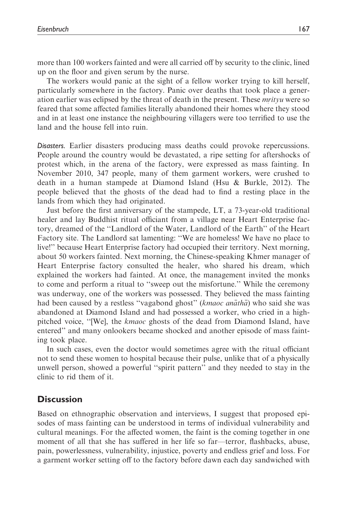more than 100 workers fainted and were all carried off by security to the clinic, lined up on the floor and given serum by the nurse.

The workers would panic at the sight of a fellow worker trying to kill herself, particularly somewhere in the factory. Panic over deaths that took place a generation earlier was eclipsed by the threat of death in the present. These *mrityu* were so<br>found that some effected families literally shardaned their homes where they stood feared that some affected families literally abandoned their homes where they stood and in at least one instance the neighbouring villagers were too terrified to use the land and the house fell into ruin.

Disasters. Earlier disasters producing mass deaths could provoke repercussions. People around the country would be devastated, a ripe setting for aftershocks of protest which, in the arena of the factory, were expressed as mass fainting. In November 2010, 347 people, many of them garment workers, were crushed to death in a human stampede at Diamond Island (Hsu & Burkle, 2012). The people believed that the ghosts of the dead had to find a resting place in the lands from which they had originated.

Just before the first anniversary of the stampede, LT, a 73-year-old traditional healer and lay Buddhist ritual officiant from a village near Heart Enterprise factory, dreamed of the ''Landlord of the Water, Landlord of the Earth'' of the Heart Factory site. The Landlord sat lamenting: ''We are homeless! We have no place to live!'' because Heart Enterprise factory had occupied their territory. Next morning, about 50 workers fainted. Next morning, the Chinese-speaking Khmer manager of Heart Enterprise factory consulted the healer, who shared his dream, which explained the workers had fainted. At once, the management invited the monks to come and perform a ritual to ''sweep out the misfortune.'' While the ceremony was underway, one of the workers was possessed. They believed the mass fainting had been caused by a restless "vagabond ghost" (kmaoc anāthā) who said she was abandoned at Diamond Island and had possessed a worker, who cried in a highpitched voice, "[We], the *kmaoc* ghosts of the dead from Diamond Island, have entered'' and many onlookers became shocked and another episode of mass fainting took place.

In such cases, even the doctor would sometimes agree with the ritual officiant not to send these women to hospital because their pulse, unlike that of a physically unwell person, showed a powerful ''spirit pattern'' and they needed to stay in the clinic to rid them of it.

#### **Discussion**

Based on ethnographic observation and interviews, I suggest that proposed episodes of mass fainting can be understood in terms of individual vulnerability and cultural meanings. For the affected women, the faint is the coming together in one moment of all that she has suffered in her life so far—terror, flashbacks, abuse, pain, powerlessness, vulnerability, injustice, poverty and endless grief and loss. For a garment worker setting off to the factory before dawn each day sandwiched with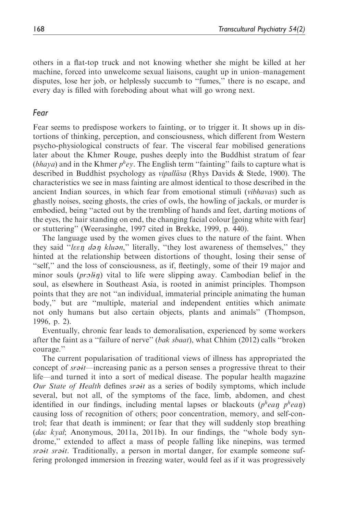others in a flat-top truck and not knowing whether she might be killed at her machine, forced into unwelcome sexual liaisons, caught up in union–management disputes, lose her job, or helplessly succumb to ''fumes,'' there is no escape, and every day is filled with foreboding about what will go wrong next.

#### Fear

Fear seems to predispose workers to fainting, or to trigger it. It shows up in distortions of thinking, perception, and consciousness, which different from Western psycho-physiological constructs of fear. The visceral fear mobilised generations later about the Khmer Rouge, pushes deeply into the Buddhist stratum of fear *(bhaya)* and in the Khmer  $p^h e y$ . The English term "fainting" fails to capture what is described in Buddhist psychology as *vipallāsa* (Rhys Davids & Stede, 1900). The characteristics we see in mass fainting are almost identical to those described in the ancient Indian sources, in which fear from emotional stimuli (vibhavas) such as ghastly noises, seeing ghosts, the cries of owls, the howling of jackals, or murder is embodied, being ''acted out by the trembling of hands and feet, darting motions of the eyes, the hair standing on end, the changing facial colour [going white with fear] or stuttering'' (Weerasinghe, 1997 cited in Brekke, 1999, p. 440).

The language used by the women gives clues to the nature of the faint. When they said "leen don kluon," literally, "they lost awareness of themselves," they hinted at the relationship between distortions of thought, losing their sense of ''self,'' and the loss of consciousness, as if, fleetingly, some of their 19 major and minor souls ( $prolip$ ) vital to life were slipping away. Cambodian belief in the soul, as elsewhere in Southeast Asia, is rooted in animist principles. Thompson points that they are not ''an individual, immaterial principle animating the human body,'' but are ''multiple, material and independent entities which animate not only humans but also certain objects, plants and animals'' (Thompson, 1996, p. 2).

Eventually, chronic fear leads to demoralisation, experienced by some workers after the faint as a "failure of nerve" (bak sbaat), what Chhim (2012) calls "broken courage.''

The current popularisation of traditional views of illness has appropriated the concept of  $sr\leftrightarrow i$ —increasing panic as a person senses a progressive threat to their life—and turned it into a sort of medical disease. The popular health magazine Our State of Health defines  $sr\leftrightarrow i$  as a series of bodily symptoms, which include several, but not all, of the symptoms of the face, limb, abdomen, and chest identified in our findings, including mental lapses or blackouts ( $p^h$ ean  $p^h$ ean) causing loss of recognition of others; poor concentration, memory, and self-control; fear that death is imminent; or fear that they will suddenly stop breathing (dac kyal; Anonymous, 2011a, 2011b). In our findings, the ''whole body syndrome,'' extended to affect a mass of people falling like ninepins, was termed  $sr\leftrightarrow i\leftrightarrow j\leftrightarrow j\leftrightarrow k$ . Traditionally, a person in mortal danger, for example someone suffering prolonged immersion in freezing water, would feel as if it was progressively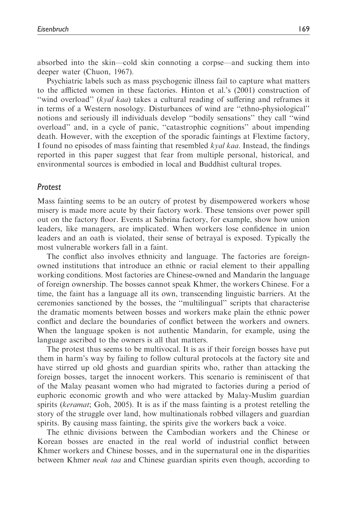Psychiatric labels such as mass psychogenic illness fail to capture what matters to the afflicted women in these factories. Hinton et al.'s (2001) construction of ''wind overload'' (kyal kaa) takes a cultural reading of suffering and reframes it in terms of a Western nosology. Disturbances of wind are ''ethno-physiological'' notions and seriously ill individuals develop ''bodily sensations'' they call ''wind overload'' and, in a cycle of panic, ''catastrophic cognitions'' about impending death. However, with the exception of the sporadic faintings at Flextime factory, I found no episodes of mass fainting that resembled kyal kaa. Instead, the findings reported in this paper suggest that fear from multiple personal, historical, and environmental sources is embodied in local and Buddhist cultural tropes.

#### Protest

Mass fainting seems to be an outcry of protest by disempowered workers whose misery is made more acute by their factory work. These tensions over power spill out on the factory floor. Events at Sabrina factory, for example, show how union leaders, like managers, are implicated. When workers lose confidence in union leaders and an oath is violated, their sense of betrayal is exposed. Typically the most vulnerable workers fall in a faint.

The conflict also involves ethnicity and language. The factories are foreignowned institutions that introduce an ethnic or racial element to their appalling working conditions. Most factories are Chinese-owned and Mandarin the language of foreign ownership. The bosses cannot speak Khmer, the workers Chinese. For a time, the faint has a language all its own, transcending linguistic barriers. At the ceremonies sanctioned by the bosses, the ''multilingual'' scripts that characterise the dramatic moments between bosses and workers make plain the ethnic power conflict and declare the boundaries of conflict between the workers and owners. When the language spoken is not authentic Mandarin, for example, using the language ascribed to the owners is all that matters.

The protest thus seems to be multivocal. It is as if their foreign bosses have put them in harm's way by failing to follow cultural protocols at the factory site and have stirred up old ghosts and guardian spirits who, rather than attacking the foreign bosses, target the innocent workers. This scenario is reminiscent of that of the Malay peasant women who had migrated to factories during a period of euphoric economic growth and who were attacked by Malay-Muslim guardian spirits (keramat; Goh, 2005). It is as if the mass fainting is a protest retelling the story of the struggle over land, how multinationals robbed villagers and guardian spirits. By causing mass fainting, the spirits give the workers back a voice.

The ethnic divisions between the Cambodian workers and the Chinese or Korean bosses are enacted in the real world of industrial conflict between Khmer workers and Chinese bosses, and in the supernatural one in the disparities between Khmer neak taa and Chinese guardian spirits even though, according to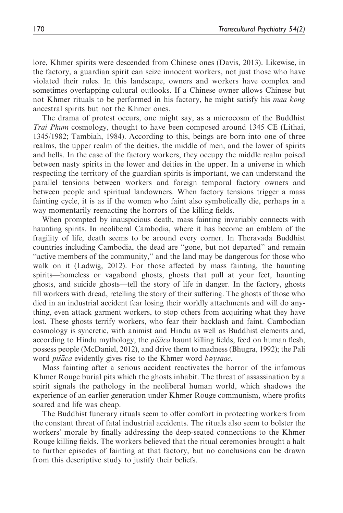lore, Khmer spirits were descended from Chinese ones (Davis, 2013). Likewise, in the factory, a guardian spirit can seize innocent workers, not just those who have violated their rules. In this landscape, owners and workers have complex and sometimes overlapping cultural outlooks. If a Chinese owner allows Chinese but not Khmer rituals to be performed in his factory, he might satisfy his *maa kong* ancestral spirits but not the Khmer ones.

The drama of protest occurs, one might say, as a microcosm of the Buddhist Trai Phum cosmology, thought to have been composed around 1345 CE (Lithai, 1345/1982; Tambiah, 1984). According to this, beings are born into one of three realms, the upper realm of the deities, the middle of men, and the lower of spirits and hells. In the case of the factory workers, they occupy the middle realm poised between nasty spirits in the lower and deities in the upper. In a universe in which respecting the territory of the guardian spirits is important, we can understand the parallel tensions between workers and foreign temporal factory owners and between people and spiritual landowners. When factory tensions trigger a mass fainting cycle, it is as if the women who faint also symbolically die, perhaps in a way momentarily reenacting the horrors of the killing fields.

When prompted by inauspicious death, mass fainting invariably connects with haunting spirits. In neoliberal Cambodia, where it has become an emblem of the fragility of life, death seems to be around every corner. In Theravada Buddhist countries including Cambodia, the dead are ''gone, but not departed'' and remain ''active members of the community,'' and the land may be dangerous for those who walk on it (Ladwig, 2012). For those affected by mass fainting, the haunting spirits—homeless or vagabond ghosts, ghosts that pull at your feet, haunting ghosts, and suicide ghosts—tell the story of life in danger. In the factory, ghosts fill workers with dread, retelling the story of their suffering. The ghosts of those who died in an industrial accident fear losing their worldly attachments and will do anything, even attack garment workers, to stop others from acquiring what they have lost. These ghosts terrify workers, who fear their backlash and faint. Cambodian cosmology is syncretic, with animist and Hindu as well as Buddhist elements and, according to Hindu mythology, the *pistaca* haunt killing fields, feed on human flesh, possess people (McDaniel, 2012), and drive them to madness (Bhugra, 1992); the Pali word piśāca evidently gives rise to the Khmer word baysaac.

Mass fainting after a serious accident reactivates the horror of the infamous Khmer Rouge burial pits which the ghosts inhabit. The threat of assassination by a spirit signals the pathology in the neoliberal human world, which shadows the experience of an earlier generation under Khmer Rouge communism, where profits soared and life was cheap.

The Buddhist funerary rituals seem to offer comfort in protecting workers from the constant threat of fatal industrial accidents. The rituals also seem to bolster the workers' morale by finally addressing the deep-seated connections to the Khmer Rouge killing fields. The workers believed that the ritual ceremonies brought a halt to further episodes of fainting at that factory, but no conclusions can be drawn from this descriptive study to justify their beliefs.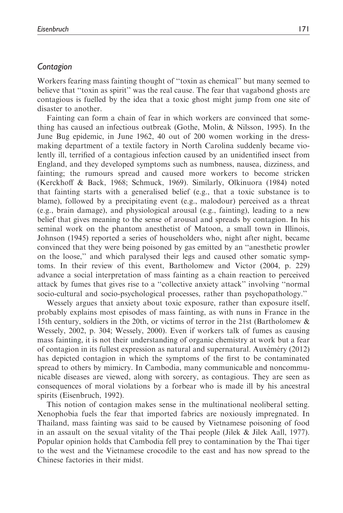#### Contagion

Workers fearing mass fainting thought of ''toxin as chemical'' but many seemed to believe that ''toxin as spirit'' was the real cause. The fear that vagabond ghosts are contagious is fuelled by the idea that a toxic ghost might jump from one site of disaster to another.

Fainting can form a chain of fear in which workers are convinced that something has caused an infectious outbreak (Gothe, Molin, & Nilsson, 1995). In the June Bug epidemic, in June 1962, 40 out of 200 women working in the dressmaking department of a textile factory in North Carolina suddenly became violently ill, terrified of a contagious infection caused by an unidentified insect from England, and they developed symptoms such as numbness, nausea, dizziness, and fainting; the rumours spread and caused more workers to become stricken (Kerckhoff & Back, 1968; Schmuck, 1969). Similarly, Olkinuora (1984) noted that fainting starts with a generalised belief (e.g., that a toxic substance is to blame), followed by a precipitating event (e.g., malodour) perceived as a threat (e.g., brain damage), and physiological arousal (e.g., fainting), leading to a new belief that gives meaning to the sense of arousal and spreads by contagion. In his seminal work on the phantom anesthetist of Matoon, a small town in Illinois, Johnson (1945) reported a series of householders who, night after night, became convinced that they were being poisoned by gas emitted by an ''anesthetic prowler on the loose,'' and which paralysed their legs and caused other somatic symptoms. In their review of this event, Bartholomew and Victor (2004, p. 229) advance a social interpretation of mass fainting as a chain reaction to perceived attack by fumes that gives rise to a ''collective anxiety attack'' involving ''normal socio-cultural and socio-psychological processes, rather than psychopathology.''

Wessely argues that anxiety about toxic exposure, rather than exposure itself, probably explains most episodes of mass fainting, as with nuns in France in the 15th century, soldiers in the 20th, or victims of terror in the 21st (Bartholomew & Wessely, 2002, p. 304; Wessely, 2000). Even if workers talk of fumes as causing mass fainting, it is not their understanding of organic chemistry at work but a fear of contagion in its fullest expression as natural and supernatural. Auxéméry  $(2012)$ has depicted contagion in which the symptoms of the first to be contaminated spread to others by mimicry. In Cambodia, many communicable and noncommunicable diseases are viewed, along with sorcery, as contagious. They are seen as consequences of moral violations by a forbear who is made ill by his ancestral spirits (Eisenbruch, 1992).

This notion of contagion makes sense in the multinational neoliberal setting. Xenophobia fuels the fear that imported fabrics are noxiously impregnated. In Thailand, mass fainting was said to be caused by Vietnamese poisoning of food in an assault on the sexual vitality of the Thai people (Jilek & Jilek Aall, 1977). Popular opinion holds that Cambodia fell prey to contamination by the Thai tiger to the west and the Vietnamese crocodile to the east and has now spread to the Chinese factories in their midst.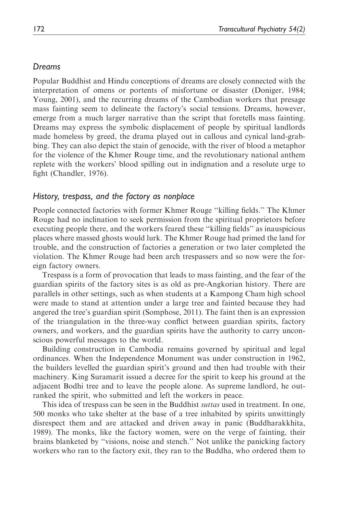#### Dreams

Popular Buddhist and Hindu conceptions of dreams are closely connected with the interpretation of omens or portents of misfortune or disaster (Doniger, 1984; Young, 2001), and the recurring dreams of the Cambodian workers that presage mass fainting seem to delineate the factory's social tensions. Dreams, however, emerge from a much larger narrative than the script that foretells mass fainting. Dreams may express the symbolic displacement of people by spiritual landlords made homeless by greed, the drama played out in callous and cynical land-grabbing. They can also depict the stain of genocide, with the river of blood a metaphor for the violence of the Khmer Rouge time, and the revolutionary national anthem replete with the workers' blood spilling out in indignation and a resolute urge to fight (Chandler, 1976).

#### History, trespass, and the factory as nonplace

People connected factories with former Khmer Rouge ''killing fields.'' The Khmer Rouge had no inclination to seek permission from the spiritual proprietors before executing people there, and the workers feared these ''killing fields'' as inauspicious places where massed ghosts would lurk. The Khmer Rouge had primed the land for trouble, and the construction of factories a generation or two later completed the violation. The Khmer Rouge had been arch trespassers and so now were the foreign factory owners.

Trespass is a form of provocation that leads to mass fainting, and the fear of the guardian spirits of the factory sites is as old as pre-Angkorian history. There are parallels in other settings, such as when students at a Kampong Cham high school were made to stand at attention under a large tree and fainted because they had angered the tree's guardian spirit (Somphose, 2011). The faint then is an expression of the triangulation in the three-way conflict between guardian spirits, factory owners, and workers, and the guardian spirits have the authority to carry unconscious powerful messages to the world.

Building construction in Cambodia remains governed by spiritual and legal ordinances. When the Independence Monument was under construction in 1962, the builders levelled the guardian spirit's ground and then had trouble with their machinery. King Suramarit issued a decree for the spirit to keep his ground at the adjacent Bodhi tree and to leave the people alone. As supreme landlord, he outranked the spirit, who submitted and left the workers in peace.

This idea of trespass can be seen in the Buddhist *suttas* used in treatment. In one, 500 monks who take shelter at the base of a tree inhabited by spirits unwittingly disrespect them and are attacked and driven away in panic (Buddharakkhita, 1989). The monks, like the factory women, were on the verge of fainting, their brains blanketed by ''visions, noise and stench.'' Not unlike the panicking factory workers who ran to the factory exit, they ran to the Buddha, who ordered them to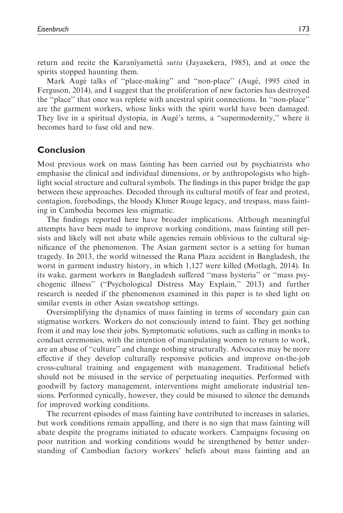return and recite the Karanīyamettā *sutta* (Jayasekera, 1985), and at once the enjuite stanned bounting them spirits stopped haunting them.

Mark Augé talks of "place-making" and "non-place" (Augé, 1995 cited in Ferguson, 2014), and I suggest that the proliferation of new factories has destroyed the ''place'' that once was replete with ancestral spirit connections. In ''non-place'' are the garment workers, whose links with the spirit world have been damaged. They live in a spiritual dystopia, in Augé's terms, a "supermodernity," where it becomes hard to fuse old and new.

## **Conclusion**

Most previous work on mass fainting has been carried out by psychiatrists who emphasise the clinical and individual dimensions, or by anthropologists who highlight social structure and cultural symbols. The findings in this paper bridge the gap between these approaches. Decoded through its cultural motifs of fear and protest, contagion, forebodings, the bloody Khmer Rouge legacy, and trespass, mass fainting in Cambodia becomes less enigmatic.

The findings reported here have broader implications. Although meaningful attempts have been made to improve working conditions, mass fainting still persists and likely will not abate while agencies remain oblivious to the cultural significance of the phenomenon. The Asian garment sector is a setting for human tragedy. In 2013, the world witnessed the Rana Plaza accident in Bangladesh, the worst in garment industry history, in which 1,127 were killed (Motlagh, 2014). In its wake, garment workers in Bangladesh suffered ''mass hysteria'' or ''mass psychogenic illness'' (''Psychological Distress May Explain,'' 2013) and further research is needed if the phenomenon examined in this paper is to shed light on similar events in other Asian sweatshop settings.

Oversimplifying the dynamics of mass fainting in terms of secondary gain can stigmatise workers. Workers do not consciously intend to faint. They get nothing from it and may lose their jobs. Symptomatic solutions, such as calling in monks to conduct ceremonies, with the intention of manipulating women to return to work, are an abuse of ''culture'' and change nothing structurally. Advocates may be more effective if they develop culturally responsive policies and improve on-the-job cross-cultural training and engagement with management. Traditional beliefs should not be misused in the service of perpetuating inequities. Performed with goodwill by factory management, interventions might ameliorate industrial tensions. Performed cynically, however, they could be misused to silence the demands for improved working conditions.

The recurrent episodes of mass fainting have contributed to increases in salaries, but work conditions remain appalling, and there is no sign that mass fainting will abate despite the programs initiated to educate workers. Campaigns focusing on poor nutrition and working conditions would be strengthened by better understanding of Cambodian factory workers' beliefs about mass fainting and an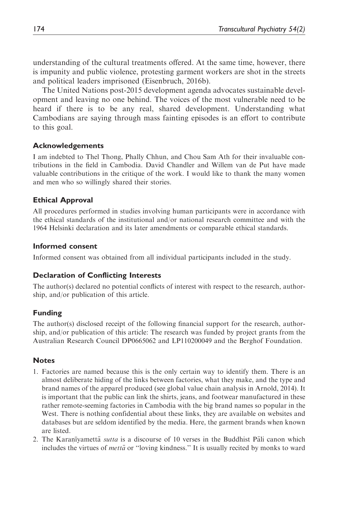understanding of the cultural treatments offered. At the same time, however, there is impunity and public violence, protesting garment workers are shot in the streets and political leaders imprisoned (Eisenbruch, 2016b).

The United Nations post-2015 development agenda advocates sustainable development and leaving no one behind. The voices of the most vulnerable need to be heard if there is to be any real, shared development. Understanding what Cambodians are saying through mass fainting episodes is an effort to contribute to this goal.

#### Acknowledgements

I am indebted to Thel Thong, Phally Chhun, and Chou Sam Ath for their invaluable contributions in the field in Cambodia. David Chandler and Willem van de Put have made valuable contributions in the critique of the work. I would like to thank the many women and men who so willingly shared their stories.

## Ethical Approval

All procedures performed in studies involving human participants were in accordance with the ethical standards of the institutional and/or national research committee and with the 1964 Helsinki declaration and its later amendments or comparable ethical standards.

#### Informed consent

Informed consent was obtained from all individual participants included in the study.

## Declaration of Conflicting Interests

The author(s) declared no potential conflicts of interest with respect to the research, authorship, and/or publication of this article.

## Funding

The author(s) disclosed receipt of the following financial support for the research, authorship, and/or publication of this article: The research was funded by project grants from the Australian Research Council DP0665062 and LP110200049 and the Berghof Foundation.

## **Notes**

- 1. Factories are named because this is the only certain way to identify them. There is an almost deliberate hiding of the links between factories, what they make, and the type and brand names of the apparel produced (see global value chain analysis in Arnold, 2014). It is important that the public can link the shirts, jeans, and footwear manufactured in these rather remote-seeming factories in Cambodia with the big brand names so popular in the West. There is nothing confidential about these links, they are available on websites and databases but are seldom identified by the media. Here, the garment brands when known are listed.
- 2. The Karanīyamettā *sutta* is a discourse of 10 verses in the Buddhist Pali canon which  $\frac{1}{2}$  is detected by months to use of  $\frac{1}{2}$ includes the virtues of *metta* or "loving kindness." It is usually recited by monks to ward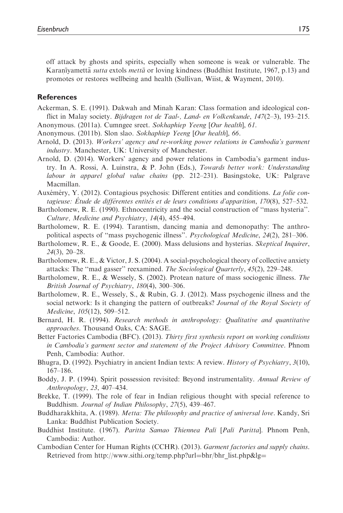off attack by ghosts and spirits, especially when someone is weak or vulnerable. The Karanīyamettā *sutta* extols *mettā* or loving kindness (Buddhist Institute, 1967, p.13) and normates or restores wellbeing and bealth (Sulliven, Wiist, & Wayment, 2010) promotes or restores wellbeing and health (Sullivan, Wiist, & Wayment, 2010).

#### **References**

- Ackerman, S. E. (1991). Dakwah and Minah Karan: Class formation and ideological conflict in Malay society. Bijdragen tot de Taal-, Land- en Volkenkunde, 147(2–3), 193–215.
- Anonymous. (2011a). Cumngee sreet. Sokhaphiep Yeeng [Our health], 61.
- Anonymous. (2011b). Slon slao. Sokhaphiep Yeeng [Our health], 66.
- Arnold, D. (2013). Workers' agency and re-working power relations in Cambodia's garment industry. Manchester, UK: University of Manchester.
- Arnold, D. (2014). Workers' agency and power relations in Cambodia's garment industry. In A. Rossi, A. Luinstra, & P. John (Eds.), Towards better work: Understanding labour in apparel global value chains (pp. 212–231). Basingstoke, UK: Palgrave Macmillan.
- Auxéméry, Y. (2012). Contagious psychosis: Different entities and conditions. La folie contagieuse: Étude de différentes entités et de leurs conditions d'apparition, 170(8), 527–532.
- Bartholomew, R. E. (1990). Ethnocentricity and the social construction of ''mass hysteria''. Culture, Medicine and Psychiatry, 14(4), 455–494.
- Bartholomew, R. E. (1994). Tarantism, dancing mania and demonopathy: The anthropolitical aspects of ''mass psychogenic illness''. Psychological Medicine, 24(2), 281–306.
- Bartholomew, R. E., & Goode, E. (2000). Mass delusions and hysterias. Skeptical Inquirer, 24(3), 20–28.
- Bartholomew, R. E., & Victor, J. S. (2004). A social-psychological theory of collective anxiety attacks: The ''mad gasser'' reexamined. The Sociological Quarterly, 45(2), 229–248.
- Bartholomew, R. E., & Wessely, S. (2002). Protean nature of mass sociogenic illness. The British Journal of Psychiatry, 180(4), 300–306.
- Bartholomew, R. E., Wessely, S., & Rubin, G. J. (2012). Mass psychogenic illness and the social network: Is it changing the pattern of outbreaks? *Journal of the Royal Society of* Medicine, 105(12), 509–512.
- Bernard, H. R. (1994). Research methods in anthropology: Qualitative and quantitative approaches. Thousand Oaks, CA: SAGE.
- Better Factories Cambodia (BFC). (2013). Thirty first synthesis report on working conditions in Cambodia's garment sector and statement of the Project Advisory Committee. Phnom Penh, Cambodia: Author.
- Bhugra, D. (1992). Psychiatry in ancient Indian texts: A review. History of Psychiatry, 3(10), 167–186.
- Boddy, J. P. (1994). Spirit possession revisited: Beyond instrumentality. Annual Review of Anthropology, 23, 407–434.
- Brekke, T. (1999). The role of fear in Indian religious thought with special reference to Buddhism. Journal of Indian Philosophy, 27(5), 439–467.
- Buddharakkhita, A. (1989). Metta: The philosophy and practice of universal love. Kandy, Sri Lanka: Buddhist Publication Society.
- Buddhist Institute. (1967). Paritta Samao Thiennea Pali [Pali Paritta]. Phnom Penh, Cambodia: Author.
- Cambodian Center for Human Rights (CCHR). (2013). Garment factories and supply chains. Retrieved from [http://www.sithi.org/temp.php?url](http://www.sithi.org/temp.php?url=bhr/bhr_list.php&lg=)=[bhr/bhr\\_list.php&lg](http://www.sithi.org/temp.php?url=bhr/bhr_list.php&lg=)=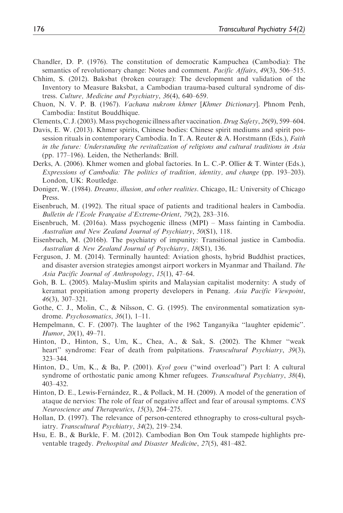- Chandler, D. P. (1976). The constitution of democratic Kampuchea (Cambodia): The semantics of revolutionary change: Notes and comment. *Pacific Affairs*, 49(3), 506–515.
- Chhim, S. (2012). Baksbat (broken courage): The development and validation of the Inventory to Measure Baksbat, a Cambodian trauma-based cultural syndrome of distress. Culture, Medicine and Psychiatry, 36(4), 640–659.
- Chuon, N. V. P. B. (1967). Vachana nukrom khmer [Khmer Dictionary]. Phnom Penh, Cambodia: Institut Bouddhique.
- Clements, C. J. (2003).Mass psychogenic illness after vaccination. Drug Safety, 26(9), 599–604.
- Davis, E. W. (2013). Khmer spirits, Chinese bodies: Chinese spirit mediums and spirit possession rituals in contemporary Cambodia. In T. A. Reuter & A. Horstmann (Eds.), *Faith* in the future: Understanding the revitalization of religions and cultural traditions in Asia (pp. 177–196). Leiden, the Netherlands: Brill.
- Derks, A. (2006). Khmer women and global factories. In L. C.-P. Ollier & T. Winter (Eds.), Expressions of Cambodia: The politics of tradition, identity, and change (pp. 193–203). London, UK: Routledge.
- Doniger, W. (1984). *Dreams, illusion, and other realities*. Chicago, IL: University of Chicago Press.
- Eisenbruch, M. (1992). The ritual space of patients and traditional healers in Cambodia. Bulletin de l'Ecole Française d'Extreme-Orient, 79(2), 283-316.
- Eisenbruch, M. (2016a). Mass psychogenic illness (MPI) Mass fainting in Cambodia. Australian and New Zealand Journal of Psychiatry, 50(S1), 118.
- Eisenbruch, M. (2016b). The psychiatry of impunity: Transitional justice in Cambodia. Australian & New Zealand Journal of Psychiatry, 18(S1), 136.
- Ferguson, J. M. (2014). Terminally haunted: Aviation ghosts, hybrid Buddhist practices, and disaster aversion strategies amongst airport workers in Myanmar and Thailand. The Asia Pacific Journal of Anthropology, 15(1), 47–64.
- Goh, B. L. (2005). Malay-Muslim spirits and Malaysian capitalist modernity: A study of keramat propitiation among property developers in Penang. Asia Pacific Viewpoint, 46(3), 307–321.
- Gothe, C. J., Molin, C., & Nilsson, C. G. (1995). The environmental somatization syndrome. Psychosomatics, 36(1), 1–11.
- Hempelmann, C. F. (2007). The laughter of the 1962 Tanganyika ''laughter epidemic''. Humor, 20(1), 49–71.
- Hinton, D., Hinton, S., Um, K., Chea, A., & Sak, S. (2002). The Khmer ''weak heart" syndrome: Fear of death from palpitations. Transcultural Psychiatry, 39(3), 323–344.
- Hinton, D., Um, K., & Ba, P. (2001). Kvol goeu ("wind overload") Part I: A cultural syndrome of orthostatic panic among Khmer refugees. Transcultural Psychiatry, 38(4), 403–432.
- Hinton, D. E., Lewis-Fernández, R., & Pollack, M. H. (2009). A model of the generation of ataque de nervios: The role of fear of negative affect and fear of arousal symptoms. CNS Neuroscience and Therapeutics, 15(3), 264–275.
- Hollan, D. (1997). The relevance of person-centered ethnography to cross-cultural psychiatry. Transcultural Psychiatry, 34(2), 219–234.
- Hsu, E. B., & Burkle, F. M. (2012). Cambodian Bon Om Touk stampede highlights preventable tragedy. Prehospital and Disaster Medicine, 27(5), 481–482.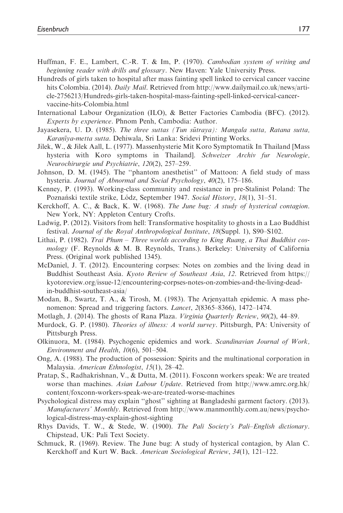- Huffman, F. E., Lambert, C.-R. T. & Im, P. (1970). Cambodian system of writing and beginning reader with drills and glossary. New Haven: Yale University Press.
- Hundreds of girls taken to hospital after mass fainting spell linked to cervical cancer vaccine hits Colombia. (2014). Daily Mail. Retrieved from [http://www.dailymail.co.uk/news/arti](http://www.dailymail.co.uk/news/article-2756213/Hundreds-girls-taken-hospital-mass-fainting-spell-linked-cervical-cancer-vaccine-hits-Colombia.html)[cle-2756213/Hundreds-girls-taken-hospital-mass-fainting-spell-linked-cervical-cancer](http://www.dailymail.co.uk/news/article-2756213/Hundreds-girls-taken-hospital-mass-fainting-spell-linked-cervical-cancer-vaccine-hits-Colombia.html)[vaccine-hits-Colombia.html](http://www.dailymail.co.uk/news/article-2756213/Hundreds-girls-taken-hospital-mass-fainting-spell-linked-cervical-cancer-vaccine-hits-Colombia.html)
- International Labour Organization (ILO), & Better Factories Cambodia (BFC). (2012). Experts by experience. Phnom Penh, Cambodia: Author.
- Jayasekera, U. D. (1985). *The three suttas (Tun sūtraya): Mangala sutta, Ratana sutta*, Karanīya-metta sutta. Dehiwala, Sri Lanka: Sridevi Printing Works.<br>1. W. S. Hels Aell J. (1977), Massanhystoria Mit Kong Symptomatic
- Jilek, W., & Jilek Aall, L. (1977). Massenhysterie Mit Koro Symptomatik In Thailand [Mass hysteria with Koro symptoms in Thailand]. Schweizer Archiv fur Neurologie, Neurochirurgie und Psychiatrie, 120(2), 257–259.
- Johnson, D. M. (1945). The ''phantom anesthetist'' of Mattoon: A field study of mass hysteria. Journal of Abnormal and Social Psychology, 40(2), 175–186.
- Kenney, P. (1993). Working-class community and resistance in pre-Stalinist Poland: The Poznański textile strike, Lódz, September 1947. Social History, 18(1), 31–51.
- Kerckhoff, A. C., & Back, K. W. (1968). The June bug: A study of hysterical contagion. New York, NY: Appleton Century Crofts.
- Ladwig, P. (2012). Visitors from hell: Transformative hospitality to ghosts in a Lao Buddhist festival. Journal of the Royal Anthropological Institute, 18(Suppl. 1), S90–S102.
- Lithai, P. (1982). Trai Phum Three worlds according to King Ruang, a Thai Buddhist cosmology (F. Reynolds & M. B. Reynolds, Trans.). Berkeley: University of California Press. (Original work published 1345).
- McDaniel, J. T. (2012). Encountering corpses: Notes on zombies and the living dead in Buddhist Southeast Asia. Kyoto Review of Southeast Asia, 12. Retrieved from [https://](https://kyotoreview.org/issue-12/encountering-corpses-notes-on-zombies-and-the-living-dead-in-buddhist-southeast-asia/) [kyotoreview.org/issue-12/encountering-corpses-notes-on-zombies-and-the-living-dead](https://kyotoreview.org/issue-12/encountering-corpses-notes-on-zombies-and-the-living-dead-in-buddhist-southeast-asia/)[in-buddhist-southeast-asia/](https://kyotoreview.org/issue-12/encountering-corpses-notes-on-zombies-and-the-living-dead-in-buddhist-southeast-asia/)
- Modan, B., Swartz, T. A., & Tirosh, M. (1983). The Arjenyattah epidemic. A mass phenomenon: Spread and triggering factors. *Lancet*, 2(8365–8366), 1472–1474.
- Motlagh, J. (2014). The ghosts of Rana Plaza. *Virginia Quarterly Review*, 90(2), 44–89.
- Murdock, G. P. (1980). *Theories of illness: A world survey*. Pittsburgh, PA: University of Pittsburgh Press.
- Olkinuora, M. (1984). Psychogenic epidemics and work. Scandinavian Journal of Work, Environment and Health,  $10(6)$ , 501–504.
- Ong, A. (1988). The production of possession: Spirits and the multinational corporation in Malaysia. American Ethnologist, 15(1), 28–42.
- Pratap, S., Radhakrishnan, V., & Dutta, M. (2011). Foxconn workers speak: We are treated worse than machines. Asian Labour Update. Retrieved from [http://www.amrc.org.hk/](http://www.amrc.org.hk/content/foxconn-workers-speak-we-are-treated-worse-machines) [content/foxconn-workers-speak-we-are-treated-worse-machines](http://www.amrc.org.hk/content/foxconn-workers-speak-we-are-treated-worse-machines)
- Psychological distress may explain ''ghost'' sighting at Bangladeshi garment factory. (2013). Manufacturers' Monthly. Retrieved from [http://www.manmonthly.com.au/news/psycho](http://www.manmonthly.com.au/news/psychological-distress-may-explain-ghost-sighting)[logical-distress-may-explain-ghost-sighting](http://www.manmonthly.com.au/news/psychological-distress-may-explain-ghost-sighting)
- Rhys Davids, T. W., & Stede, W. (1900). The Pali Society's Pali–English dictionary. Chipstead, UK: Pali Text Society.
- Schmuck, R. (1969). Review. The June bug: A study of hysterical contagion, by Alan C. Kerckhoff and Kurt W. Back. American Sociological Review, 34(1), 121–122.